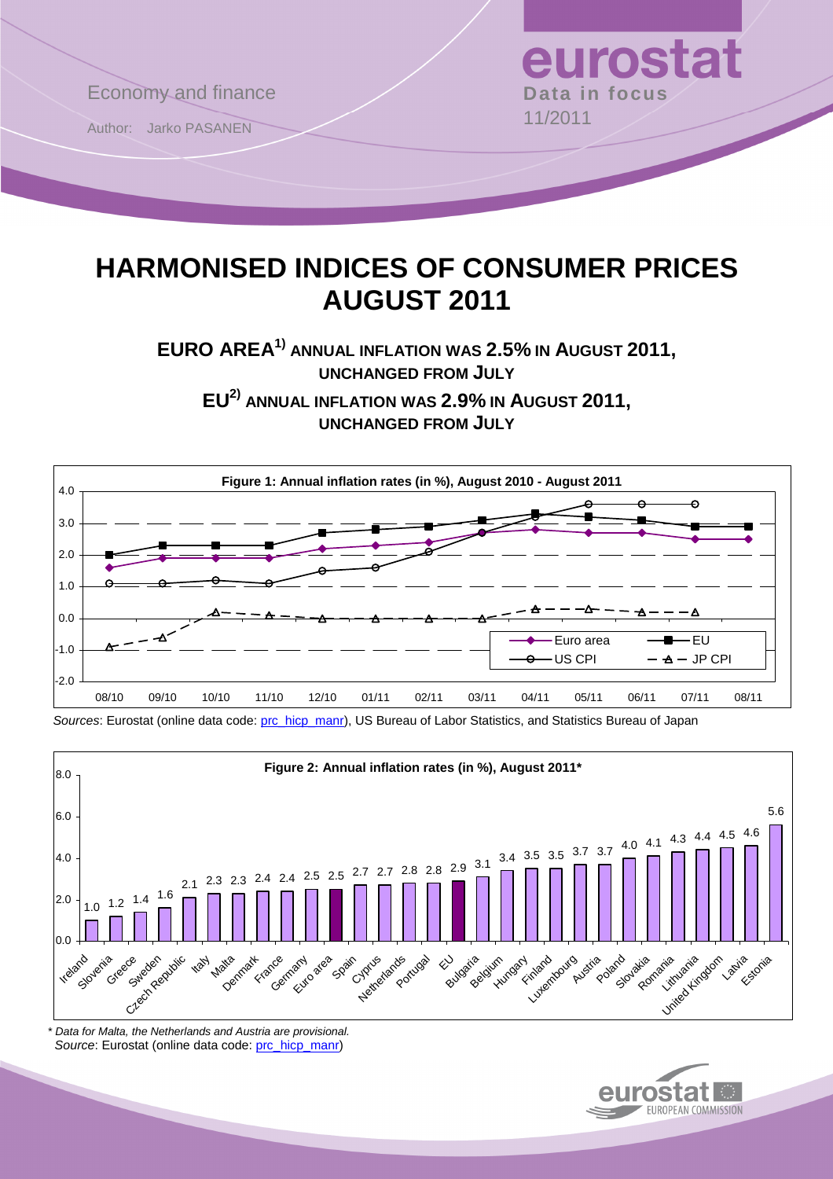

# **HARMONISED INDICES OF CONSUMER PRICES AUGUST 2011**

**EURO AREA1) ANNUAL INFLATION WAS 2.5% IN AUGUST 2011, UNCHANGED FROM JULY**

**EU2) ANNUAL INFLATION WAS 2.9% IN AUGUST 2011, UNCHANGED FROM JULY**



Sources: Eurostat (online data code: [prc\\_hicp\\_manr\)](http://ec.europa.eu/eurostat/product?code=prc_hicp_manr&mode=view), US Bureau of Labor Statistics, and Statistics Bureau of Japan



\* Data for Malta, the Netherlands and Austria are provisional. Source: Eurostat (online data code: [prc\\_hicp\\_manr](http://ec.europa.eu/eurostat/product?code=prc_hicp_manr&mode=view))

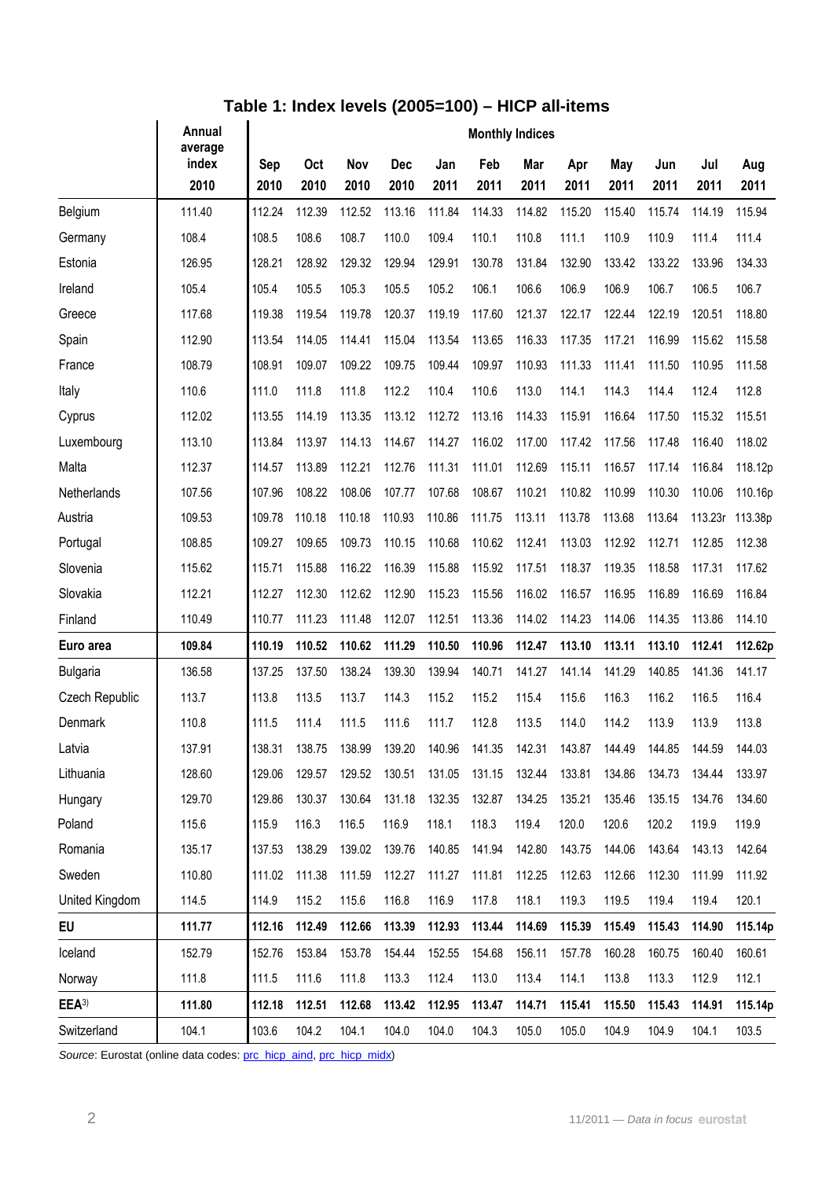|                  | Annual                   | <b>Monthly Indices</b> |                    |             |                    |             |             |             |             |             |             |             |             |  |
|------------------|--------------------------|------------------------|--------------------|-------------|--------------------|-------------|-------------|-------------|-------------|-------------|-------------|-------------|-------------|--|
|                  | average<br>index<br>2010 | Sep<br>2010            | <b>Oct</b><br>2010 | Nov<br>2010 | <b>Dec</b><br>2010 | Jan<br>2011 | Feb<br>2011 | Mar<br>2011 | Apr<br>2011 | May<br>2011 | Jun<br>2011 | Jul<br>2011 | Aug<br>2011 |  |
| Belgium          | 111.40                   | 112.24                 | 112.39             | 112.52      | 113.16             | 111.84      | 114.33      | 114.82      | 115.20      | 115.40      | 115.74      | 114.19      | 115.94      |  |
| Germany          | 108.4                    | 108.5                  | 108.6              | 108.7       | 110.0              | 109.4       | 110.1       | 110.8       | 111.1       | 110.9       | 110.9       | 111.4       | 111.4       |  |
| Estonia          | 126.95                   | 128.21                 | 128.92             | 129.32      | 129.94             | 129.91      | 130.78      | 131.84      | 132.90      | 133.42      | 133.22      | 133.96      | 134.33      |  |
| Ireland          | 105.4                    | 105.4                  | 105.5              | 105.3       | 105.5              | 105.2       | 106.1       | 106.6       | 106.9       | 106.9       | 106.7       | 106.5       | 106.7       |  |
| Greece           | 117.68                   | 119.38                 | 119.54             | 119.78      | 120.37             | 119.19      | 117.60      | 121.37      | 122.17      | 122.44      | 122.19      | 120.51      | 118.80      |  |
| Spain            | 112.90                   | 113.54                 | 114.05             | 114.41      | 115.04             | 113.54      | 113.65      | 116.33      | 117.35      | 117.21      | 116.99      | 115.62      | 115.58      |  |
| France           | 108.79                   | 108.91                 | 109.07             | 109.22      | 109.75             | 109.44      | 109.97      | 110.93      | 111.33      | 111.41      | 111.50      | 110.95      | 111.58      |  |
| Italy            | 110.6                    | 111.0                  | 111.8              | 111.8       | 112.2              | 110.4       | 110.6       | 113.0       | 114.1       | 114.3       | 114.4       | 112.4       | 112.8       |  |
| Cyprus           | 112.02                   | 113.55                 | 114.19             | 113.35      | 113.12             | 112.72      | 113.16      | 114.33      | 115.91      | 116.64      | 117.50      | 115.32      | 115.51      |  |
| Luxembourg       | 113.10                   | 113.84                 | 113.97             | 114.13      | 114.67             | 114.27      | 116.02      | 117.00      | 117.42      | 117.56      | 117.48      | 116.40      | 118.02      |  |
| Malta            | 112.37                   | 114.57                 | 113.89             | 112.21      | 112.76             | 111.31      | 111.01      | 112.69      | 115.11      | 116.57      | 117.14      | 116.84      | 118.12p     |  |
| Netherlands      | 107.56                   | 107.96                 | 108.22             | 108.06      | 107.77             | 107.68      | 108.67      | 110.21      | 110.82      | 110.99      | 110.30      | 110.06      | 110.16p     |  |
| Austria          | 109.53                   | 109.78                 | 110.18             | 110.18      | 110.93             | 110.86      | 111.75      | 113.11      | 113.78      | 113.68      | 113.64      | 113.23r     | 113.38p     |  |
| Portugal         | 108.85                   | 109.27                 | 109.65             | 109.73      | 110.15             | 110.68      | 110.62      | 112.41      | 113.03      | 112.92      | 112.71      | 112.85      | 112.38      |  |
| Slovenia         | 115.62                   | 115.71                 | 115.88             | 116.22      | 116.39             | 115.88      | 115.92      | 117.51      | 118.37      | 119.35      | 118.58      | 117.31      | 117.62      |  |
| Slovakia         | 112.21                   | 112.27                 | 112.30             | 112.62      | 112.90             | 115.23      | 115.56      | 116.02      | 116.57      | 116.95      | 116.89      | 116.69      | 116.84      |  |
| Finland          | 110.49                   | 110.77                 | 111.23             | 111.48      | 112.07             | 112.51      | 113.36      | 114.02      | 114.23      | 114.06      | 114.35      | 113.86      | 114.10      |  |
| Euro area        | 109.84                   | 110.19                 | 110.52             | 110.62      | 111.29             | 110.50      | 110.96      | 112.47      | 113.10      | 113.11      | 113.10      | 112.41      | 112.62p     |  |
| <b>Bulgaria</b>  | 136.58                   | 137.25                 | 137.50             | 138.24      | 139.30             | 139.94      | 140.71      | 141.27      | 141.14      | 141.29      | 140.85      | 141.36      | 141.17      |  |
| Czech Republic   | 113.7                    | 113.8                  | 113.5              | 113.7       | 114.3              | 115.2       | 115.2       | 115.4       | 115.6       | 116.3       | 116.2       | 116.5       | 116.4       |  |
| Denmark          | 110.8                    | 111.5                  | 111.4              | 111.5       | 111.6              | 111.7       | 112.8       | 113.5       | 114.0       | 114.2       | 113.9       | 113.9       | 113.8       |  |
| Latvia           | 137.91                   | 138.31                 | 138.75             | 138.99      | 139.20             | 140.96      | 141.35      | 142.31      | 143.87      | 144.49      | 144.85      | 144.59      | 144.03      |  |
| Lithuania        | 128.60                   | 129.06                 | 129.57             | 129.52      | 130.51             | 131.05      | 131.15      | 132.44      | 133.81      | 134.86      | 134.73      | 134.44      | 133.97      |  |
| Hungary          | 129.70                   | 129.86                 | 130.37             | 130.64      | 131.18             | 132.35      | 132.87      | 134.25      | 135.21      | 135.46      | 135.15      | 134.76      | 134.60      |  |
| Poland           | 115.6                    | 115.9                  | 116.3              | 116.5       | 116.9              | 118.1       | 118.3       | 119.4       | 120.0       | 120.6       | 120.2       | 119.9       | 119.9       |  |
| Romania          | 135.17                   | 137.53                 | 138.29             | 139.02      | 139.76             | 140.85      | 141.94      | 142.80      | 143.75      | 144.06      | 143.64      | 143.13      | 142.64      |  |
| Sweden           | 110.80                   | 111.02                 | 111.38             | 111.59      | 112.27             | 111.27      | 111.81      | 112.25      | 112.63      | 112.66      | 112.30      | 111.99      | 111.92      |  |
| United Kingdom   | 114.5                    | 114.9                  | 115.2              | 115.6       | 116.8              | 116.9       | 117.8       | 118.1       | 119.3       | 119.5       | 119.4       | 119.4       | 120.1       |  |
| EU               | 111.77                   | 112.16                 | 112.49             | 112.66      | 113.39             | 112.93      | 113.44      | 114.69      | 115.39      | 115.49      | 115.43      | 114.90      | 115.14p     |  |
| Iceland          | 152.79                   | 152.76                 | 153.84             | 153.78      | 154.44             | 152.55      | 154.68      | 156.11      | 157.78      | 160.28      | 160.75      | 160.40      | 160.61      |  |
| Norway           | 111.8                    | 111.5                  | 111.6              | 111.8       | 113.3              | 112.4       | 113.0       | 113.4       | 114.1       | 113.8       | 113.3       | 112.9       | 112.1       |  |
| EEA <sup>3</sup> | 111.80                   | 112.18                 | 112.51             | 112.68      | 113.42             | 112.95      | 113.47      | 114.71      | 115.41      | 115.50      | 115.43      | 114.91      | 115.14p     |  |
| Switzerland      | 104.1                    | 103.6                  | 104.2              | 104.1       | 104.0              | 104.0       | 104.3       | 105.0       | 105.0       | 104.9       | 104.9       | 104.1       | 103.5       |  |

Source: Eurostat (online data codes: [prc\\_hicp\\_aind,](http://ec.europa.eu/eurostat/product?code=prc_hicp_aind&mode=view) [prc\\_hicp\\_midx\)](http://ec.europa.eu/eurostat/product?code=prc_hicp_midx&mode=view)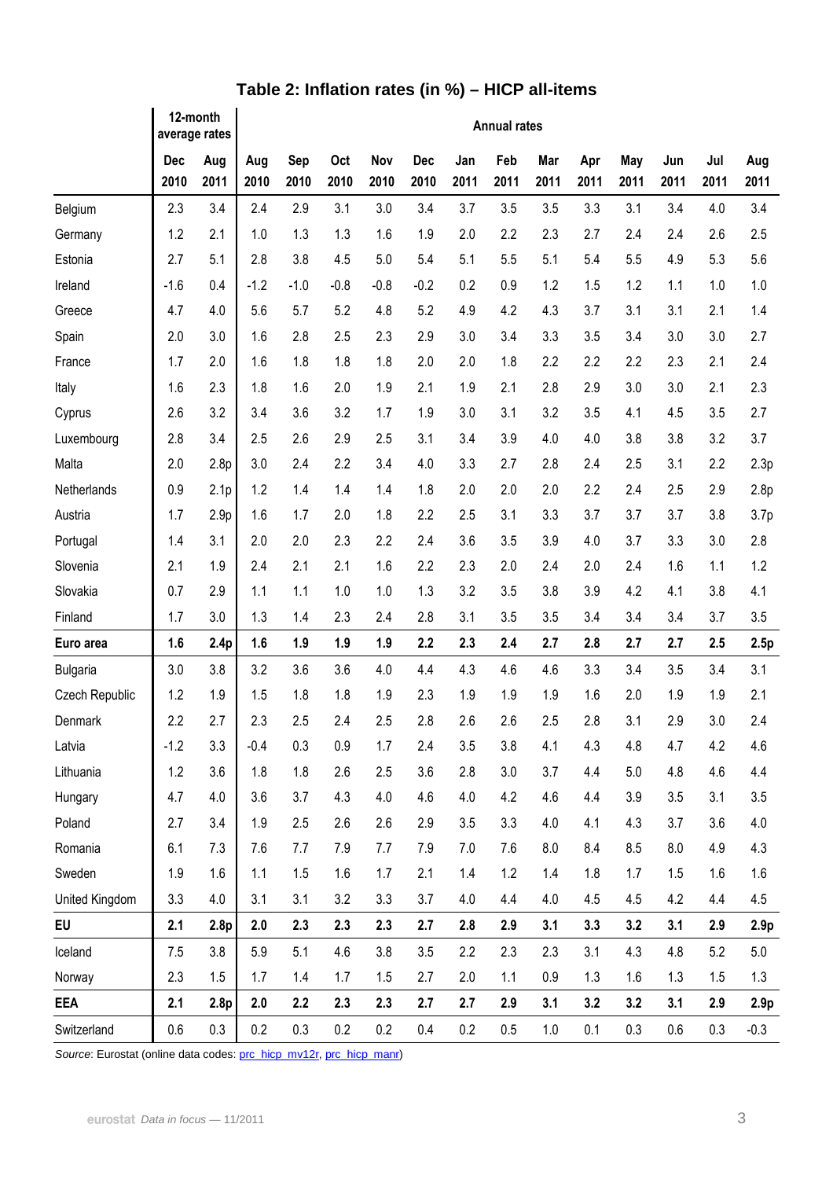|                 | 12-month<br>average rates |                  | <b>Annual rates</b> |             |             |             |                    |             |             |             |             |             |             |             |                  |
|-----------------|---------------------------|------------------|---------------------|-------------|-------------|-------------|--------------------|-------------|-------------|-------------|-------------|-------------|-------------|-------------|------------------|
|                 | Dec<br>2010               | Aug<br>2011      | Aug<br>2010         | Sep<br>2010 | Oct<br>2010 | Nov<br>2010 | <b>Dec</b><br>2010 | Jan<br>2011 | Feb<br>2011 | Mar<br>2011 | Apr<br>2011 | May<br>2011 | Jun<br>2011 | Jul<br>2011 | Aug<br>2011      |
| Belgium         | 2.3                       | 3.4              | 2.4                 | 2.9         | 3.1         | 3.0         | 3.4                | 3.7         | 3.5         | 3.5         | 3.3         | 3.1         | 3.4         | 4.0         | 3.4              |
| Germany         | 1.2                       | 2.1              | 1.0                 | 1.3         | 1.3         | 1.6         | 1.9                | 2.0         | 2.2         | 2.3         | 2.7         | 2.4         | 2.4         | 2.6         | 2.5              |
| Estonia         | 2.7                       | 5.1              | 2.8                 | 3.8         | 4.5         | 5.0         | 5.4                | 5.1         | 5.5         | 5.1         | 5.4         | 5.5         | 4.9         | 5.3         | 5.6              |
| Ireland         | $-1.6$                    | 0.4              | $-1.2$              | $-1.0$      | $-0.8$      | $-0.8$      | $-0.2$             | 0.2         | 0.9         | 1.2         | 1.5         | 1.2         | 1.1         | 1.0         | 1.0              |
| Greece          | 4.7                       | 4.0              | 5.6                 | 5.7         | 5.2         | 4.8         | 5.2                | 4.9         | 4.2         | 4.3         | 3.7         | 3.1         | 3.1         | 2.1         | 1.4              |
| Spain           | 2.0                       | 3.0              | 1.6                 | 2.8         | 2.5         | 2.3         | 2.9                | 3.0         | 3.4         | 3.3         | 3.5         | 3.4         | 3.0         | 3.0         | 2.7              |
| France          | 1.7                       | 2.0              | 1.6                 | 1.8         | 1.8         | 1.8         | 2.0                | 2.0         | 1.8         | 2.2         | 2.2         | 2.2         | 2.3         | 2.1         | 2.4              |
| Italy           | 1.6                       | 2.3              | 1.8                 | 1.6         | 2.0         | 1.9         | 2.1                | 1.9         | 2.1         | 2.8         | 2.9         | 3.0         | 3.0         | 2.1         | 2.3              |
| Cyprus          | 2.6                       | 3.2              | 3.4                 | 3.6         | 3.2         | 1.7         | 1.9                | 3.0         | 3.1         | 3.2         | 3.5         | 4.1         | 4.5         | 3.5         | 2.7              |
| Luxembourg      | 2.8                       | 3.4              | 2.5                 | 2.6         | 2.9         | 2.5         | 3.1                | 3.4         | 3.9         | 4.0         | 4.0         | 3.8         | 3.8         | 3.2         | 3.7              |
| Malta           | 2.0                       | 2.8p             | 3.0                 | 2.4         | 2.2         | 3.4         | 4.0                | 3.3         | 2.7         | 2.8         | 2.4         | 2.5         | 3.1         | 2.2         | 2.3p             |
| Netherlands     | 0.9                       | 2.1 <sub>p</sub> | 1.2                 | 1.4         | 1.4         | 1.4         | 1.8                | 2.0         | 2.0         | 2.0         | 2.2         | 2.4         | 2.5         | 2.9         | 2.8p             |
| Austria         | 1.7                       | 2.9 <sub>p</sub> | 1.6                 | 1.7         | 2.0         | 1.8         | 2.2                | 2.5         | 3.1         | 3.3         | 3.7         | 3.7         | 3.7         | 3.8         | 3.7 <sub>p</sub> |
| Portugal        | 1.4                       | 3.1              | 2.0                 | 2.0         | 2.3         | 2.2         | 2.4                | 3.6         | 3.5         | 3.9         | 4.0         | 3.7         | 3.3         | 3.0         | 2.8              |
| Slovenia        | 2.1                       | 1.9              | 2.4                 | 2.1         | 2.1         | 1.6         | 2.2                | 2.3         | 2.0         | 2.4         | 2.0         | 2.4         | 1.6         | 1.1         | 1.2              |
| Slovakia        | 0.7                       | 2.9              | 1.1                 | 1.1         | 1.0         | 1.0         | 1.3                | 3.2         | 3.5         | 3.8         | 3.9         | 4.2         | 4.1         | 3.8         | 4.1              |
| Finland         | 1.7                       | 3.0              | 1.3                 | 1.4         | 2.3         | 2.4         | 2.8                | 3.1         | 3.5         | 3.5         | 3.4         | 3.4         | 3.4         | 3.7         | 3.5              |
| Euro area       | 1.6                       | 2.4p             | 1.6                 | 1.9         | 1.9         | 1.9         | 2.2                | 2.3         | 2.4         | 2.7         | 2.8         | 2.7         | 2.7         | 2.5         | 2.5p             |
| <b>Bulgaria</b> | 3.0                       | 3.8              | 3.2                 | 3.6         | 3.6         | 4.0         | 4.4                | 4.3         | 4.6         | 4.6         | 3.3         | 3.4         | 3.5         | 3.4         | 3.1              |
| Czech Republic  | 1.2                       | 1.9              | 1.5                 | 1.8         | 1.8         | 1.9         | 2.3                | 1.9         | 1.9         | 1.9         | 1.6         | 2.0         | 1.9         | 1.9         | 2.1              |
| Denmark         | 2.2                       | 2.7              | 2.3                 | 2.5         | 2.4         | 2.5         | 2.8                | 2.6         | 2.6         | 2.5         | 2.8         | 3.1         | 2.9         | 3.0         | 2.4              |
| Latvia          | $-1.2$                    | 3.3              | $-0.4$              | 0.3         | 0.9         | 1.7         | 2.4                | 3.5         | 3.8         | 4.1         | 4.3         | 4.8         | 4.7         | 4.2         | 4.6              |
| Lithuania       | 1.2                       | 3.6              | 1.8                 | 1.8         | 2.6         | 2.5         | 3.6                | 2.8         | 3.0         | 3.7         | 4.4         | 5.0         | 4.8         | 4.6         | 4.4              |
| Hungary         | 4.7                       | 4.0              | 3.6                 | 3.7         | 4.3         | 4.0         | 4.6                | 4.0         | 4.2         | 4.6         | 4.4         | 3.9         | 3.5         | 3.1         | 3.5              |
| Poland          | 2.7                       | 3.4              | 1.9                 | 2.5         | 2.6         | 2.6         | 2.9                | 3.5         | 3.3         | 4.0         | 4.1         | 4.3         | 3.7         | 3.6         | 4.0              |
| Romania         | 6.1                       | 7.3              | 7.6                 | 7.7         | 7.9         | 7.7         | 7.9                | 7.0         | 7.6         | 8.0         | 8.4         | 8.5         | 8.0         | 4.9         | 4.3              |
| Sweden          | 1.9                       | 1.6              | 1.1                 | 1.5         | 1.6         | 1.7         | 2.1                | 1.4         | 1.2         | 1.4         | 1.8         | 1.7         | 1.5         | 1.6         | $1.6\,$          |
| United Kingdom  | 3.3                       | 4.0              | 3.1                 | 3.1         | 3.2         | 3.3         | 3.7                | 4.0         | 4.4         | 4.0         | 4.5         | 4.5         | 4.2         | 4.4         | 4.5              |
| EU              | 2.1                       | 2.8p             | 2.0                 | 2.3         | 2.3         | 2.3         | 2.7                | 2.8         | 2.9         | 3.1         | 3.3         | 3.2         | 3.1         | 2.9         | 2.9 <sub>p</sub> |
| Iceland         | 7.5                       | 3.8              | 5.9                 | 5.1         | 4.6         | 3.8         | 3.5                | 2.2         | 2.3         | 2.3         | 3.1         | 4.3         | 4.8         | 5.2         | 5.0              |
| Norway          | 2.3                       | 1.5              | 1.7                 | 1.4         | 1.7         | 1.5         | 2.7                | 2.0         | 1.1         | 0.9         | 1.3         | 1.6         | 1.3         | 1.5         | 1.3              |
| <b>EEA</b>      | 2.1                       | 2.8p             | 2.0                 | 2.2         | 2.3         | 2.3         | 2.7                | 2.7         | 2.9         | 3.1         | 3.2         | 3.2         | 3.1         | 2.9         | 2.9 <sub>p</sub> |
| Switzerland     | 0.6                       | 0.3              | 0.2                 | 0.3         | 0.2         | 0.2         | 0.4                | 0.2         | 0.5         | $1.0$       | 0.1         | 0.3         | 0.6         | 0.3         | $-0.3$           |

# **Table 2: Inflation rates (in %) – HICP all-items**

Source: Eurostat (online data codes: [prc\\_hicp\\_mv12r,](http://ec.europa.eu/eurostat/product?code=prc_hicp_mv12r&mode=view) [prc\\_hicp\\_manr](http://ec.europa.eu/eurostat/product?code=prc_hicp_manr&mode=view))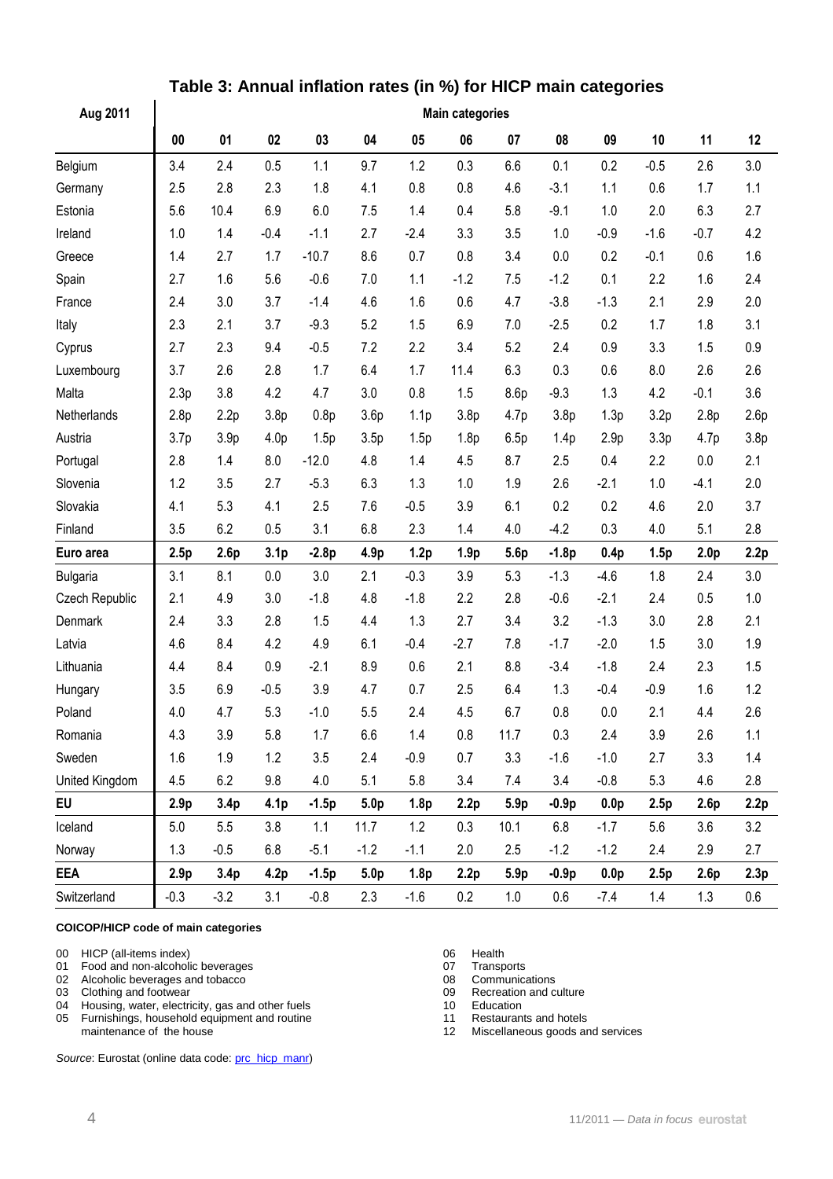| Aug 2011        | <b>Main categories</b> |                  |                  |         |                  |                  |                  |                  |                  |                  |        |                  |      |  |
|-----------------|------------------------|------------------|------------------|---------|------------------|------------------|------------------|------------------|------------------|------------------|--------|------------------|------|--|
|                 | $\bf{00}$              | 01               | 02               | 03      | 04               | 05               | 06               | 07               | 08               | 09               | 10     | 11               | 12   |  |
| Belgium         | 3.4                    | 2.4              | 0.5              | 1.1     | 9.7              | 1.2              | 0.3              | 6.6              | 0.1              | 0.2              | $-0.5$ | 2.6              | 3.0  |  |
| Germany         | 2.5                    | 2.8              | 2.3              | 1.8     | 4.1              | 0.8              | 0.8              | 4.6              | $-3.1$           | 1.1              | 0.6    | 1.7              | 1.1  |  |
| Estonia         | 5.6                    | 10.4             | 6.9              | 6.0     | 7.5              | 1.4              | 0.4              | 5.8              | $-9.1$           | 1.0              | 2.0    | 6.3              | 2.7  |  |
| Ireland         | 1.0                    | 1.4              | $-0.4$           | $-1.1$  | 2.7              | $-2.4$           | 3.3              | 3.5              | 1.0              | $-0.9$           | $-1.6$ | $-0.7$           | 4.2  |  |
| Greece          | 1.4                    | 2.7              | 1.7              | $-10.7$ | 8.6              | 0.7              | 0.8              | 3.4              | 0.0              | 0.2              | $-0.1$ | 0.6              | 1.6  |  |
| Spain           | 2.7                    | 1.6              | 5.6              | $-0.6$  | 7.0              | 1.1              | $-1.2$           | 7.5              | $-1.2$           | 0.1              | 2.2    | 1.6              | 2.4  |  |
| France          | 2.4                    | 3.0              | 3.7              | $-1.4$  | 4.6              | 1.6              | 0.6              | 4.7              | $-3.8$           | $-1.3$           | 2.1    | 2.9              | 2.0  |  |
| Italy           | 2.3                    | 2.1              | 3.7              | $-9.3$  | 5.2              | 1.5              | 6.9              | 7.0              | $-2.5$           | 0.2              | 1.7    | 1.8              | 3.1  |  |
| Cyprus          | 2.7                    | 2.3              | 9.4              | $-0.5$  | 7.2              | 2.2              | 3.4              | 5.2              | 2.4              | 0.9              | 3.3    | 1.5              | 0.9  |  |
| Luxembourg      | 3.7                    | 2.6              | 2.8              | 1.7     | 6.4              | 1.7              | 11.4             | 6.3              | 0.3              | 0.6              | 8.0    | 2.6              | 2.6  |  |
| Malta           | 2.3p                   | 3.8              | 4.2              | 4.7     | 3.0              | 0.8              | 1.5              | 8.6p             | $-9.3$           | 1.3              | 4.2    | $-0.1$           | 3.6  |  |
| Netherlands     | 2.8 <sub>p</sub>       | 2.2p             | 3.8 <sub>p</sub> | 0.8p    | 3.6p             | 1.1 <sub>p</sub> | 3.8 <sub>p</sub> | 4.7p             | 3.8 <sub>p</sub> | 1.3p             | 3.2p   | 2.8p             | 2.6p |  |
| Austria         | 3.7 <sub>p</sub>       | 3.9 <sub>p</sub> | 4.0 <sub>p</sub> | 1.5p    | 3.5p             | 1.5p             | 1.8 <sub>p</sub> | 6.5p             | 1.4p             | 2.9 <sub>p</sub> | 3.3p   | 4.7p             | 3.8p |  |
| Portugal        | 2.8                    | 1.4              | 8.0              | $-12.0$ | 4.8              | 1.4              | 4.5              | 8.7              | 2.5              | 0.4              | 2.2    | 0.0              | 2.1  |  |
| Slovenia        | 1.2                    | 3.5              | 2.7              | $-5.3$  | 6.3              | 1.3              | 1.0              | 1.9              | 2.6              | $-2.1$           | 1.0    | $-4.1$           | 2.0  |  |
| Slovakia        | 4.1                    | 5.3              | 4.1              | 2.5     | 7.6              | $-0.5$           | 3.9              | 6.1              | 0.2              | 0.2              | 4.6    | 2.0              | 3.7  |  |
| Finland         | 3.5                    | 6.2              | 0.5              | 3.1     | 6.8              | 2.3              | 1.4              | 4.0              | $-4.2$           | 0.3              | 4.0    | 5.1              | 2.8  |  |
| Euro area       | 2.5p                   | 2.6p             | 3.1 <sub>p</sub> | $-2.8p$ | 4.9p             | 1.2p             | 1.9 <sub>p</sub> | 5.6p             | $-1.8p$          | 0.4p             | 1.5p   | 2.0 <sub>p</sub> | 2.2p |  |
| <b>Bulgaria</b> | 3.1                    | 8.1              | 0.0              | 3.0     | 2.1              | $-0.3$           | 3.9              | 5.3              | $-1.3$           | $-4.6$           | 1.8    | 2.4              | 3.0  |  |
| Czech Republic  | 2.1                    | 4.9              | 3.0              | $-1.8$  | 4.8              | $-1.8$           | 2.2              | 2.8              | $-0.6$           | $-2.1$           | 2.4    | 0.5              | 1.0  |  |
| Denmark         | 2.4                    | 3.3              | 2.8              | 1.5     | 4.4              | 1.3              | 2.7              | 3.4              | 3.2              | $-1.3$           | 3.0    | 2.8              | 2.1  |  |
| Latvia          | 4.6                    | 8.4              | 4.2              | 4.9     | 6.1              | $-0.4$           | $-2.7$           | 7.8              | $-1.7$           | $-2.0$           | 1.5    | 3.0              | 1.9  |  |
| Lithuania       | 4.4                    | 8.4              | 0.9              | $-2.1$  | 8.9              | 0.6              | 2.1              | 8.8              | $-3.4$           | $-1.8$           | 2.4    | 2.3              | 1.5  |  |
| Hungary         | 3.5                    | 6.9              | $-0.5$           | 3.9     | 4.7              | 0.7              | 2.5              | 6.4              | 1.3              | $-0.4$           | $-0.9$ | 1.6              | 1.2  |  |
| Poland          | 4.0                    | 4.7              | 5.3              | $-1.0$  | 5.5              | 2.4              | 4.5              | 6.7              | 0.8              | 0.0              | 2.1    | 4.4              | 2.6  |  |
| Romania         | 4.3                    | 3.9              | 5.8              | $1.7$   | 6.6              | 1.4              | 0.8              | 11.7             | 0.3              | 2.4              | 3.9    | 2.6              | 1.1  |  |
| Sweden          | 1.6                    | 1.9              | 1.2              | 3.5     | 2.4              | $-0.9$           | 0.7              | 3.3              | $-1.6$           | $-1.0$           | 2.7    | 3.3              | 1.4  |  |
| United Kingdom  | 4.5                    | 6.2              | 9.8              | 4.0     | 5.1              | 5.8              | 3.4              | 7.4              | 3.4              | $-0.8$           | 5.3    | 4.6              | 2.8  |  |
| EU              | 2.9 <sub>p</sub>       | 3.4 <sub>p</sub> | 4.1 <sub>p</sub> | $-1.5p$ | 5.0 <sub>p</sub> | 1.8p             | 2.2p             | 5.9 <sub>p</sub> | $-0.9p$          | 0.0 <sub>p</sub> | 2.5p   | 2.6p             | 2.2p |  |
| Iceland         | 5.0                    | 5.5              | 3.8              | 1.1     | 11.7             | 1.2              | 0.3              | 10.1             | 6.8              | $-1.7$           | 5.6    | 3.6              | 3.2  |  |
| Norway          | 1.3                    | $-0.5$           | 6.8              | $-5.1$  | $-1.2$           | $-1.1$           | 2.0              | 2.5              | $-1.2$           | $-1.2$           | 2.4    | 2.9              | 2.7  |  |
| <b>EEA</b>      | 2.9 <sub>p</sub>       | 3.4 <sub>p</sub> | 4.2p             | $-1.5p$ | 5.0 <sub>p</sub> | 1.8p             | 2.2p             | 5.9 <sub>p</sub> | $-0.9p$          | 0.0 <sub>p</sub> | 2.5p   | 2.6p             | 2.3p |  |
| Switzerland     | $-0.3$                 | $-3.2$           | 3.1              | $-0.8$  | 2.3              | $-1.6$           | 0.2              | $1.0\,$          | 0.6              | $-7.4$           | 1.4    | 1.3              | 0.6  |  |

### **Table 3: Annual inflation rates (in %) for HICP main categories**

### **COICOP/HICP code of main categories**

 $\mathbf{r}$ 

- 00 HICP (all-items index) 06 Health<br>
01 Food and non-alcoholic beverages<br>
07 Transports Food and non-alcoholic beverages<br>
Alcoholic beverages and tobacco<br>
O8 Communications
- 02 Alcoholic beverages and tobacco 08 Communications<br>
03 Clothing and footwear 09 Recreation and culture
- 
- 03 Clothing and footwear<br>
04 Housing, water, electricity, gas and other fuels<br>
04 Housing, water, electricity, gas and other fuels<br>
10 Education 04 Housing, water, electricity, gas and other fuels<br>
05 Furnishings, household equipment and routine<br>
11 Restaurants and hotels
- 05 Furnishings, household equipment and routine 11 maintenance of the house 12
- 

Source: Eurostat (online data code: [prc\\_hicp\\_manr\)](http://ec.europa.eu/eurostat/product?code=prc_hicp_manr&mode=view)

- 
- 
- 
- 
- 
- 
- Miscellaneous goods and services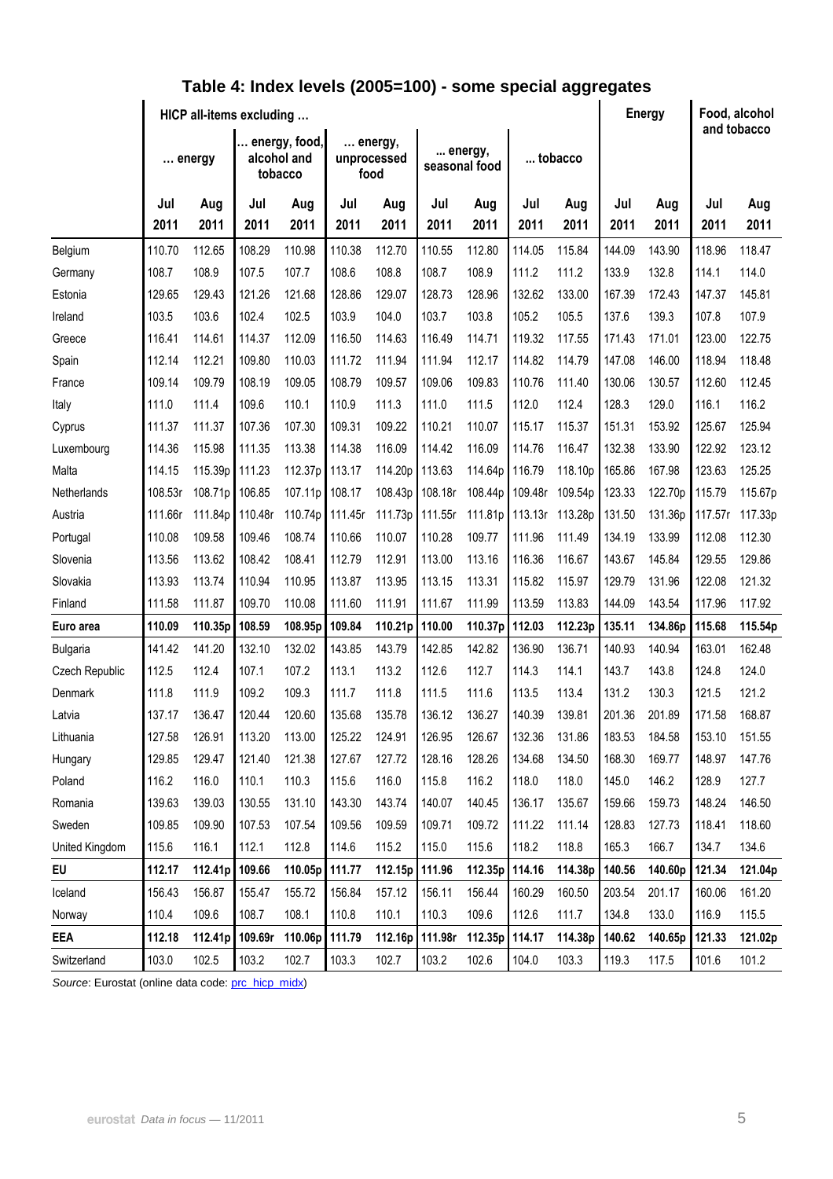|                 | HICP all-items excluding |                 |                                         |         |                                |         |                          |         |                 |         |        | <b>Energy</b> |         | Food, alcohol<br>and tobacco |  |
|-----------------|--------------------------|-----------------|-----------------------------------------|---------|--------------------------------|---------|--------------------------|---------|-----------------|---------|--------|---------------|---------|------------------------------|--|
|                 |                          | $\ldots$ energy | energy, food,<br>alcohol and<br>tobacco |         | energy,<br>unprocessed<br>food |         | energy,<br>seasonal food |         | tobacco         |         |        |               |         |                              |  |
|                 | Jul                      | Aug             | Jul                                     | Aug     | Jul                            | Aug     | Jul                      | Aug     | Jul             | Aug     | Jul    | Aug           | Jul     | Aug                          |  |
|                 | 2011                     | 2011            | 2011                                    | 2011    | 2011                           | 2011    | 2011                     | 2011    | 2011            | 2011    | 2011   | 2011          | 2011    | 2011                         |  |
| Belgium         | 110.70                   | 112.65          | 108.29                                  | 110.98  | 110.38                         | 112.70  | 110.55                   | 112.80  | 114.05          | 115.84  | 144.09 | 143.90        | 118.96  | 118.47                       |  |
| Germany         | 108.7                    | 108.9           | 107.5                                   | 107.7   | 108.6                          | 108.8   | 108.7                    | 108.9   | 111.2           | 111.2   | 133.9  | 132.8         | 114.1   | 114.0                        |  |
| Estonia         | 129.65                   | 129.43          | 121.26                                  | 121.68  | 128.86                         | 129.07  | 128.73                   | 128.96  | 132.62          | 133.00  | 167.39 | 172.43        | 147.37  | 145.81                       |  |
| Ireland         | 103.5                    | 103.6           | 102.4                                   | 102.5   | 103.9                          | 104.0   | 103.7                    | 103.8   | 105.2           | 105.5   | 137.6  | 139.3         | 107.8   | 107.9                        |  |
| Greece          | 116.41                   | 114.61          | 114.37                                  | 112.09  | 116.50                         | 114.63  | 116.49                   | 114.71  | 119.32          | 117.55  | 171.43 | 171.01        | 123.00  | 122.75                       |  |
| Spain           | 112.14                   | 112.21          | 109.80                                  | 110.03  | 111.72                         | 111.94  | 111.94                   | 112.17  | 114.82          | 114.79  | 147.08 | 146.00        | 118.94  | 118.48                       |  |
| France          | 109.14                   | 109.79          | 108.19                                  | 109.05  | 108.79                         | 109.57  | 109.06                   | 109.83  | 110.76          | 111.40  | 130.06 | 130.57        | 112.60  | 112.45                       |  |
| Italy           | 111.0                    | 111.4           | 109.6                                   | 110.1   | 110.9                          | 111.3   | 111.0                    | 111.5   | 112.0           | 112.4   | 128.3  | 129.0         | 116.1   | 116.2                        |  |
| Cyprus          | 111.37                   | 111.37          | 107.36                                  | 107.30  | 109.31                         | 109.22  | 110.21                   | 110.07  | 115.17          | 115.37  | 151.31 | 153.92        | 125.67  | 125.94                       |  |
| Luxembourg      | 114.36                   | 115.98          | 111.35                                  | 113.38  | 114.38                         | 116.09  | 114.42                   | 116.09  | 114.76          | 116.47  | 132.38 | 133.90        | 122.92  | 123.12                       |  |
| Malta           | 114.15                   | 115.39p         | 111.23                                  | 112.37p | 113.17                         | 114.20p | 113.63                   | 114.64p | 116.79          | 118.10p | 165.86 | 167.98        | 123.63  | 125.25                       |  |
| Netherlands     | 108.53r                  | 108.71p         | 106.85                                  | 107.11p | 108.17                         | 108.43p | 108.18r                  | 108.44p | 109.48r         | 109.54p | 123.33 | 122.70p       | 115.79  | 115.67p                      |  |
| Austria         | 111.66r                  | 111.84p         | 110.48r                                 | 110.74p | 111.45r                        | 111.73p | 111.55r                  | 111.81p | 113.13r 113.28p |         | 131.50 | 131.36p       | 117.57r | 117.33p                      |  |
| Portugal        | 110.08                   | 109.58          | 109.46                                  | 108.74  | 110.66                         | 110.07  | 110.28                   | 109.77  | 111.96          | 111.49  | 134.19 | 133.99        | 112.08  | 112.30                       |  |
| Slovenia        | 113.56                   | 113.62          | 108.42                                  | 108.41  | 112.79                         | 112.91  | 113.00                   | 113.16  | 116.36          | 116.67  | 143.67 | 145.84        | 129.55  | 129.86                       |  |
| Slovakia        | 113.93                   | 113.74          | 110.94                                  | 110.95  | 113.87                         | 113.95  | 113.15                   | 113.31  | 115.82          | 115.97  | 129.79 | 131.96        | 122.08  | 121.32                       |  |
| Finland         | 111.58                   | 111.87          | 109.70                                  | 110.08  | 111.60                         | 111.91  | 111.67                   | 111.99  | 113.59          | 113.83  | 144.09 | 143.54        | 117.96  | 117.92                       |  |
| Euro area       | 110.09                   | 110.35p         | 108.59                                  | 108.95p | 109.84                         | 110.21p | 110.00                   | 110.37p | 112.03          | 112.23p | 135.11 | 134.86p       | 115.68  | 115.54p                      |  |
| <b>Bulgaria</b> | 141.42                   | 141.20          | 132.10                                  | 132.02  | 143.85                         | 143.79  | 142.85                   | 142.82  | 136.90          | 136.71  | 140.93 | 140.94        | 163.01  | 162.48                       |  |
| Czech Republic  | 112.5                    | 112.4           | 107.1                                   | 107.2   | 113.1                          | 113.2   | 112.6                    | 112.7   | 114.3           | 114.1   | 143.7  | 143.8         | 124.8   | 124.0                        |  |
| <b>Denmark</b>  | 111.8                    | 111.9           | 109.2                                   | 109.3   | 111.7                          | 111.8   | 111.5                    | 111.6   | 113.5           | 113.4   | 131.2  | 130.3         | 121.5   | 121.2                        |  |
| Latvia          | 137.17                   | 136.47          | 120.44                                  | 120.60  | 135.68                         | 135.78  | 136.12                   | 136.27  | 140.39          | 139.81  | 201.36 | 201.89        | 171.58  | 168.87                       |  |
| Lithuania       | 127.58                   | 126.91          | 113.20                                  | 113.00  | 125.22                         | 124.91  | 126.95                   | 126.67  | 132.36          | 131.86  | 183.53 | 184.58        | 153.10  | 151.55                       |  |
| Hungary         | 129.85                   | 129.47          | 121.40                                  | 121.38  | 127.67                         | 127.72  | 128.16                   | 128.26  | 134.68          | 134.50  | 168.30 | 169.77        | 148.97  | 147.76                       |  |
| Poland          | 116.2                    | 116.0           | 110.1                                   | 110.3   | 115.6                          | 116.0   | 115.8                    | 116.2   | 118.0           | 118.0   | 145.0  | 146.2         | 128.9   | 127.7                        |  |
| Romania         | 139.63                   | 139.03          | 130.55                                  | 131.10  | 143.30                         | 143.74  | 140.07                   | 140.45  | 136.17          | 135.67  | 159.66 | 159.73        | 148.24  | 146.50                       |  |
| Sweden          | 109.85                   | 109.90          | 107.53                                  | 107.54  | 109.56                         | 109.59  | 109.71                   | 109.72  | 111.22          | 111.14  | 128.83 | 127.73        | 118.41  | 118.60                       |  |
| United Kingdom  | 115.6                    | 116.1           | 112.1                                   | 112.8   | 114.6                          | 115.2   | 115.0                    | 115.6   | 118.2           | 118.8   | 165.3  | 166.7         | 134.7   | 134.6                        |  |
| EU              | 112.17                   | 112.41p 109.66  |                                         | 110.05p | 111.77                         | 112.15p | 111.96                   | 112.35p | 114.16          | 114.38p | 140.56 | 140.60p       | 121.34  | 121.04p                      |  |
| Iceland         | 156.43                   | 156.87          | 155.47                                  | 155.72  | 156.84                         | 157.12  | 156.11                   | 156.44  | 160.29          | 160.50  | 203.54 | 201.17        | 160.06  | 161.20                       |  |
| Norway          | 110.4                    | 109.6           | 108.7                                   | 108.1   | 110.8                          | 110.1   | 110.3                    | 109.6   | 112.6           | 111.7   | 134.8  | 133.0         | 116.9   | 115.5                        |  |
| <b>EEA</b>      | 112.18                   | 112.41p 109.69r |                                         | 110.06p | 111.79                         |         | 112.16p 111.98r          | 112.35p | 114.17          | 114.38p | 140.62 | 140.65p       | 121.33  | 121.02p                      |  |
| Switzerland     | 103.0                    | 102.5           | 103.2                                   | 102.7   | 103.3                          | 102.7   | 103.2                    | 102.6   | 104.0           | 103.3   | 119.3  | 117.5         | 101.6   | 101.2                        |  |

### **Table 4: Index levels (2005=100) - some special aggregates**

Source: Eurostat (online data code: [prc\\_hicp\\_midx\)](http://ec.europa.eu/eurostat/product?code=prc_hicp_midx&mode=view)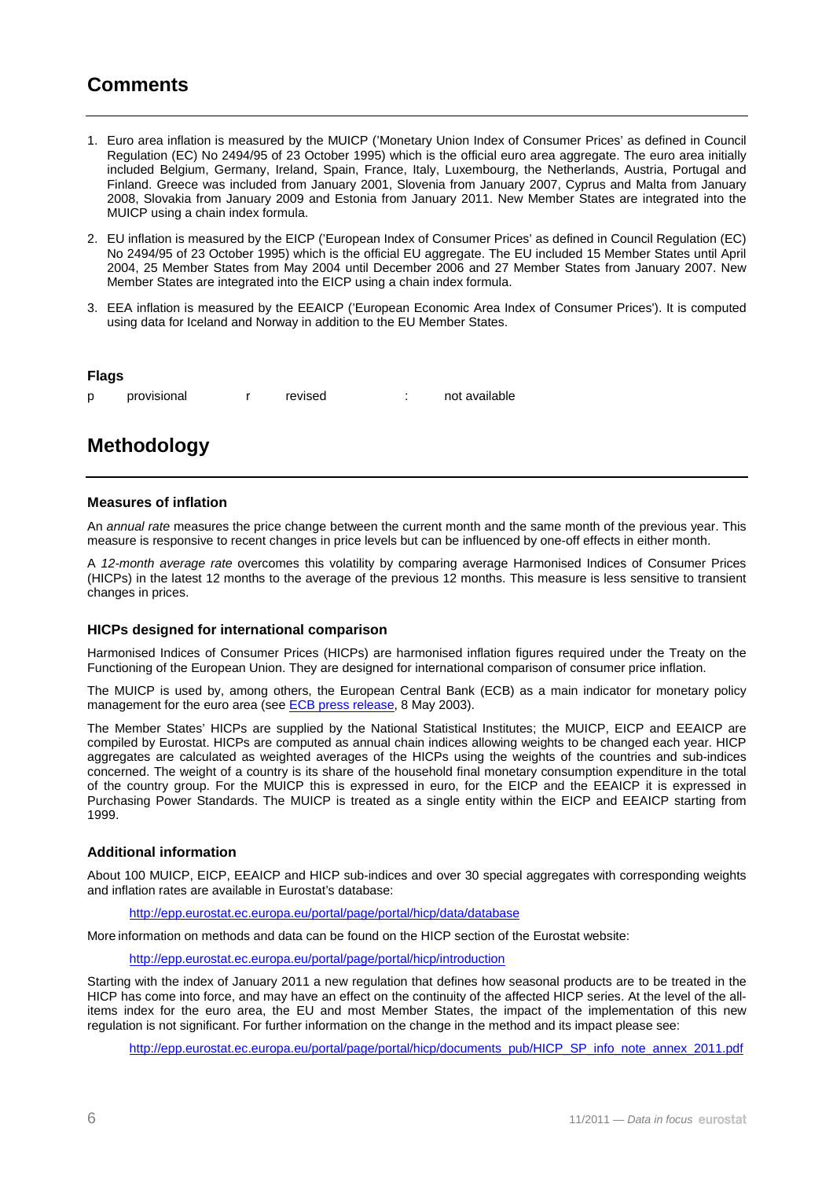### **Comments**

- 1. Euro area inflation is measured by the MUICP ('Monetary Union Index of Consumer Prices' as defined in Council Regulation (EC) No 2494/95 of 23 October 1995) which is the official euro area aggregate. The euro area initially included Belgium, Germany, Ireland, Spain, France, Italy, Luxembourg, the Netherlands, Austria, Portugal and Finland. Greece was included from January 2001, Slovenia from January 2007, Cyprus and Malta from January 2008, Slovakia from January 2009 and Estonia from January 2011. New Member States are integrated into the MUICP using a chain index formula.
- 2. EU inflation is measured by the EICP ('European Index of Consumer Prices' as defined in Council Regulation (EC) No 2494/95 of 23 October 1995) which is the official EU aggregate. The EU included 15 Member States until April 2004, 25 Member States from May 2004 until December 2006 and 27 Member States from January 2007. New Member States are integrated into the EICP using a chain index formula.
- 3. EEA inflation is measured by the EEAICP ('European Economic Area Index of Consumer Prices'). It is computed using data for Iceland and Norway in addition to the EU Member States.

#### **Flags**

p provisional r revised : not available

### **Methodology**

### **Measures of inflation**

An annual rate measures the price change between the current month and the same month of the previous year. This measure is responsive to recent changes in price levels but can be influenced by one-off effects in either month.

A 12-month average rate overcomes this volatility by comparing average Harmonised Indices of Consumer Prices (HICPs) in the latest 12 months to the average of the previous 12 months. This measure is less sensitive to transient changes in prices.

### **HICPs designed for international comparison**

Harmonised Indices of Consumer Prices (HICPs) are harmonised inflation figures required under the Treaty on the Functioning of the European Union. They are designed for international comparison of consumer price inflation.

The MUICP is used by, among others, the European Central Bank (ECB) as a main indicator for monetary policy management for the euro area (see [ECB press release,](http://www.ecb.int/press/pr/date/2003/html/pr030508_2.en.html) 8 May 2003).

The Member States' HICPs are supplied by the National Statistical Institutes; the MUICP, EICP and EEAICP are compiled by Eurostat. HICPs are computed as annual chain indices allowing weights to be changed each year. HICP aggregates are calculated as weighted averages of the HICPs using the weights of the countries and sub-indices concerned. The weight of a country is its share of the household final monetary consumption expenditure in the total of the country group. For the MUICP this is expressed in euro, for the EICP and the EEAICP it is expressed in Purchasing Power Standards. The MUICP is treated as a single entity within the EICP and EEAICP starting from 1999.

### **Additional information**

About 100 MUICP, EICP, EEAICP and HICP sub-indices and over 30 special aggregates with corresponding weights and inflation rates are available in Eurostat's database:

<http://epp.eurostat.ec.europa.eu/portal/page/portal/hicp/data/database>

More information on methods and data can be found on the HICP section of the Eurostat website:

<http://epp.eurostat.ec.europa.eu/portal/page/portal/hicp/introduction>

Starting with the index of January 2011 a new regulation that defines how seasonal products are to be treated in the HICP has come into force, and may have an effect on the continuity of the affected HICP series. At the level of the allitems index for the euro area, the EU and most Member States, the impact of the implementation of this new regulation is not significant. For further information on the change in the method and its impact please see:

[http://epp.eurostat.ec.europa.eu/portal/page/portal/hicp/documents\\_pub/HICP\\_SP\\_info\\_note\\_annex\\_2011.pdf](http://epp.eurostat.ec.europa.eu/portal/page/portal/hicp/documents_pub/HICP_SP_info_note_annex_2011.pdf)